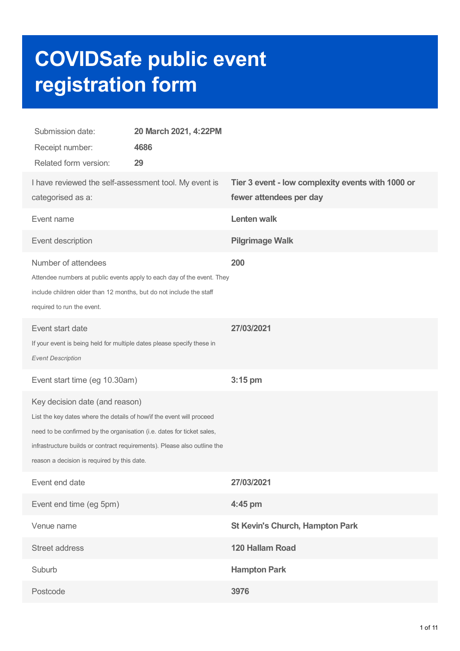# **COVIDSafe public event registration form**

| Submission date:<br>Receipt number:<br>Related form version:                                                                                                                                                                                                                                                 | 20 March 2021, 4:22PM<br>4686<br>29 |                                                                              |
|--------------------------------------------------------------------------------------------------------------------------------------------------------------------------------------------------------------------------------------------------------------------------------------------------------------|-------------------------------------|------------------------------------------------------------------------------|
| I have reviewed the self-assessment tool. My event is<br>categorised as a:                                                                                                                                                                                                                                   |                                     | Tier 3 event - low complexity events with 1000 or<br>fewer attendees per day |
| Event name                                                                                                                                                                                                                                                                                                   |                                     | <b>Lenten walk</b>                                                           |
| Event description                                                                                                                                                                                                                                                                                            |                                     | <b>Pilgrimage Walk</b>                                                       |
| Number of attendees<br>Attendee numbers at public events apply to each day of the event. They<br>include children older than 12 months, but do not include the staff<br>required to run the event.                                                                                                           |                                     | 200                                                                          |
| Event start date<br>If your event is being held for multiple dates please specify these in<br><b>Event Description</b>                                                                                                                                                                                       |                                     | 27/03/2021                                                                   |
| Event start time (eg 10.30am)                                                                                                                                                                                                                                                                                |                                     | $3:15$ pm                                                                    |
| Key decision date (and reason)<br>List the key dates where the details of how/if the event will proceed<br>need to be confirmed by the organisation (i.e. dates for ticket sales,<br>infrastructure builds or contract requirements). Please also outline the<br>reason a decision is required by this date. |                                     |                                                                              |
| Event end date                                                                                                                                                                                                                                                                                               |                                     | 27/03/2021                                                                   |
| Event end time (eg 5pm)                                                                                                                                                                                                                                                                                      |                                     | 4:45 pm                                                                      |
| Venue name                                                                                                                                                                                                                                                                                                   |                                     | <b>St Kevin's Church, Hampton Park</b>                                       |
| Street address                                                                                                                                                                                                                                                                                               |                                     | 120 Hallam Road                                                              |
| Suburb                                                                                                                                                                                                                                                                                                       |                                     | <b>Hampton Park</b>                                                          |
| Postcode                                                                                                                                                                                                                                                                                                     |                                     | 3976                                                                         |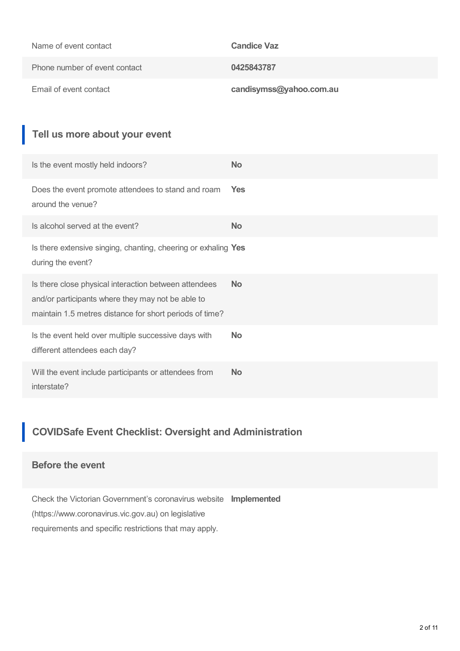| Name of event contact         | <b>Candice Vaz</b>      |
|-------------------------------|-------------------------|
| Phone number of event contact | 0425843787              |
| Email of event contact        | candisymss@yahoo.com.au |

# **Tell us more about your event**

| Is the event mostly held indoors?                                                                                                                                     | <b>No</b> |
|-----------------------------------------------------------------------------------------------------------------------------------------------------------------------|-----------|
| Does the event promote attendees to stand and roam<br>around the venue?                                                                                               | Yes       |
| Is alcohol served at the event?                                                                                                                                       | <b>No</b> |
| Is there extensive singing, chanting, cheering or exhaling Yes<br>during the event?                                                                                   |           |
| Is there close physical interaction between attendees<br>and/or participants where they may not be able to<br>maintain 1.5 metres distance for short periods of time? | <b>No</b> |
| Is the event held over multiple successive days with<br>different attendees each day?                                                                                 | <b>No</b> |
| Will the event include participants or attendees from<br>interstate?                                                                                                  | <b>No</b> |

# **COVIDSafe Event Checklist: Oversight and Administration**

## **Before the event**

Check the Victorian Government's coronavirus website **Implemented** (https://www.coronavirus.vic.gov.au) on legislative requirements and specific restrictions that may apply.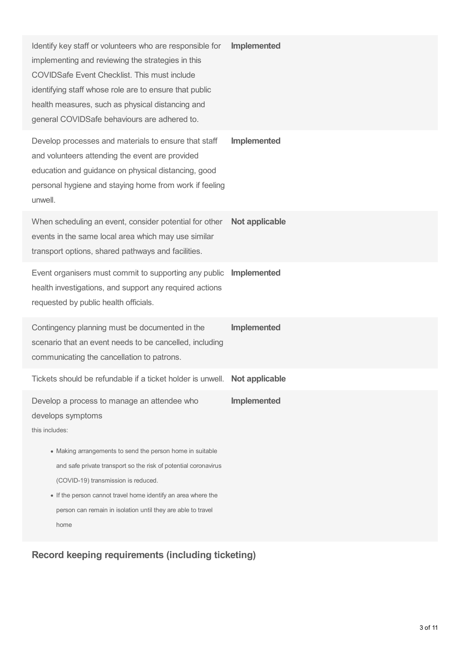| Identify key staff or volunteers who are responsible for<br>implementing and reviewing the strategies in this<br><b>COVIDSafe Event Checklist. This must include</b><br>identifying staff whose role are to ensure that public<br>health measures, such as physical distancing and<br>general COVIDSafe behaviours are adhered to.                                                                 | Implemented        |
|----------------------------------------------------------------------------------------------------------------------------------------------------------------------------------------------------------------------------------------------------------------------------------------------------------------------------------------------------------------------------------------------------|--------------------|
| Develop processes and materials to ensure that staff<br>and volunteers attending the event are provided<br>education and guidance on physical distancing, good<br>personal hygiene and staying home from work if feeling<br>unwell.                                                                                                                                                                | <b>Implemented</b> |
| When scheduling an event, consider potential for other<br>events in the same local area which may use similar<br>transport options, shared pathways and facilities.                                                                                                                                                                                                                                | Not applicable     |
| Event organisers must commit to supporting any public<br>health investigations, and support any required actions<br>requested by public health officials.                                                                                                                                                                                                                                          | Implemented        |
| Contingency planning must be documented in the<br>scenario that an event needs to be cancelled, including<br>communicating the cancellation to patrons.                                                                                                                                                                                                                                            | Implemented        |
| Tickets should be refundable if a ticket holder is unwell. Not applicable                                                                                                                                                                                                                                                                                                                          |                    |
| Develop a process to manage an attendee who<br>develops symptoms<br>this includes:<br>• Making arrangements to send the person home in suitable<br>and safe private transport so the risk of potential coronavirus<br>(COVID-19) transmission is reduced.<br>• If the person cannot travel home identify an area where the<br>person can remain in isolation until they are able to travel<br>home | Implemented        |

**Record keeping requirements (including ticketing)**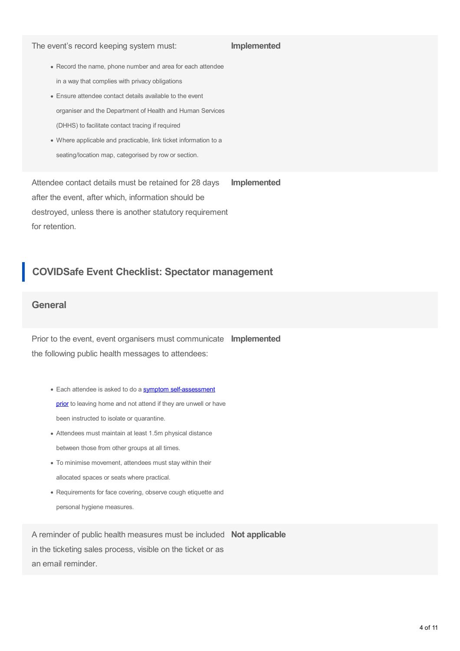#### The event's record keeping system must:

#### **Implemented**

- Record the name, phone number and area for each attendee in a way that complies with privacy obligations
- Ensure attendee contact details available to the event organiser and the Department of Health and Human Services (DHHS) to facilitate contact tracing if required
- Where applicable and practicable, link ticket information to a seating/location map, categorised by row or section.

Attendee contact details must be retained for 28 days after the event, after which, information should be destroyed, unless there is another statutory requirement for retention. **Implemented**

## **COVIDSafe Event Checklist: Spectator management**

#### **General**

Prior to the event, event organisers must communicate **Implemented** the following public health messages to attendees:

- Each attendee is asked to do a symptom [self-assessment](https://www.coronavirus.vic.gov.au/signs-posters-and-templates) prior to leaving home and not attend if they are unwell or have been instructed to isolate or quarantine.
- Attendees must maintain at least 1.5m physical distance between those from other groups at all times.
- To minimise movement, attendees must stay within their allocated spaces or seats where practical.
- Requirements for face covering, observe cough etiquette and personal hygiene measures.

A reminder of public health measures must be included **Not applicable** in the ticketing sales process, visible on the ticket or as an email reminder.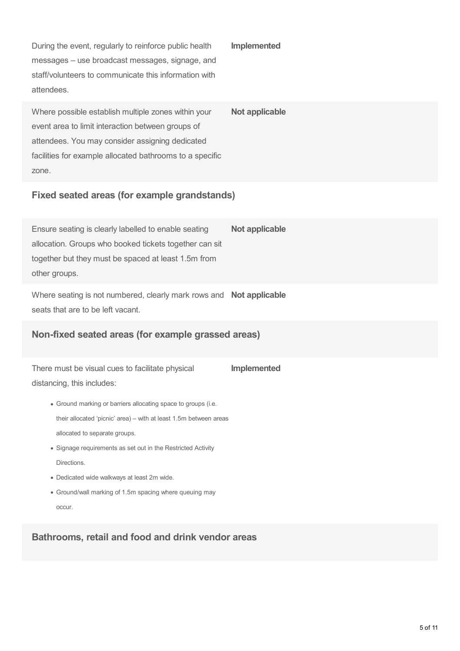During the event, regularly to reinforce public health messages – use broadcast messages, signage, and staff/volunteers to communicate this information with attendees.

Where possible establish multiple zones within your event area to limit interaction between groups of attendees. You may consider assigning dedicated facilities for example allocated bathrooms to a specific zone. **Not applicable**

**Implemented**

## **Fixed seated areas (for example grandstands)**

Ensure seating is clearly labelled to enable seating allocation. Groups who booked tickets together can sit together but they must be spaced at least 1.5m from other groups. **Not applicable**

Where seating is not numbered, clearly mark rows and **Not applicable** seats that are to be left vacant.

## **Non-fixed seated areas (for example grassed areas)**

There must be visual cues to facilitate physical distancing, this includes: **Implemented**

- Ground marking or barriers allocating space to groups (i.e. their allocated 'picnic' area) – with at least 1.5m between areas allocated to separate groups.
- Signage requirements as set out in the Restricted Activity Directions.
- Dedicated wide walkways at least 2m wide.
- Ground/wall marking of 1.5m spacing where queuing may occur.

**Bathrooms, retail and food and drink vendor areas**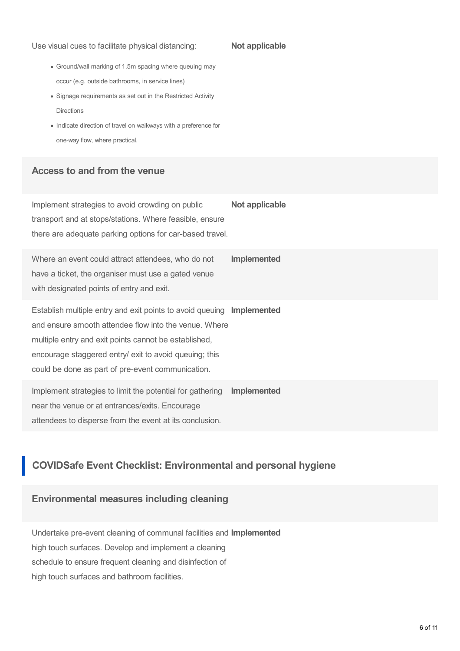Use visual cues to facilitate physical distancing:

#### **Not applicable**

- Ground/wall marking of 1.5m spacing where queuing may occur (e.g. outside bathrooms, in service lines)
- Signage requirements as set out in the Restricted Activity Directions
- Indicate direction of travel on walkways with a preference for one-way flow, where practical.

## **Access to and from the venue**

Implement strategies to avoid crowding on public transport and at stops/stations. Where feasible, ensure there are adequate parking options for car-based travel. **Not applicable**

Where an event could attract attendees, who do not have a ticket, the organiser must use a gated venue with designated points of entry and exit. **Implemented**

Establish multiple entry and exit points to avoid queuing **Implemented** and ensure smooth attendee flow into the venue. Where multiple entry and exit points cannot be established, encourage staggered entry/ exit to avoid queuing; this could be done as part of pre-event communication.

Implement strategies to limit the potential for gathering near the venue or at entrances/exits. Encourage attendees to disperse from the event at its conclusion. **Implemented**

## **COVIDSafe Event Checklist: Environmental and personal hygiene**

## **Environmental measures including cleaning**

Undertake pre-event cleaning of communal facilities and **Implemented** high touch surfaces. Develop and implement a cleaning schedule to ensure frequent cleaning and disinfection of high touch surfaces and bathroom facilities.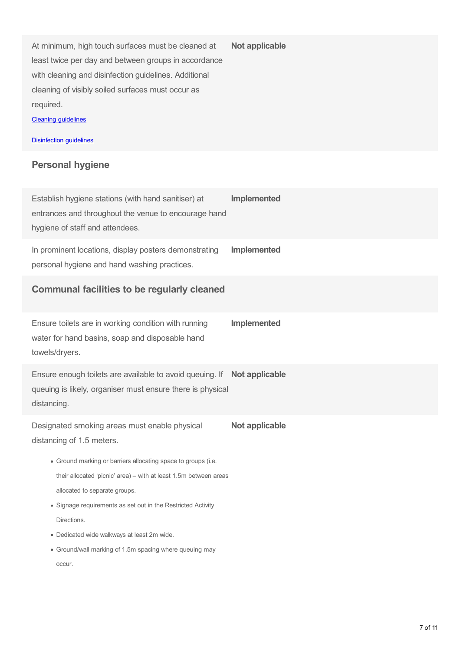At minimum, high touch surfaces must be cleaned at least twice per day and between groups in accordance with cleaning and disinfection guidelines. Additional cleaning of visibly soiled surfaces must occur as required.

Cleaning [guidelines](https://www.dhhs.vic.gov.au/preventing-infection-workplace-covid-19#cleaning-and-disinfection)

**[Disinfection](https://www.coronavirus.vic.gov.au/preventing-infection-workplace) quidelines** 

#### **Personal hygiene**

Establish hygiene stations (with hand sanitiser) at entrances and throughout the venue to encourage hand hygiene of staff and attendees. **Implemented** In prominent locations, display posters demonstrating personal hygiene and hand washing practices. **Implemented Communal facilities to be regularly cleaned** Ensure toilets are in working condition with running water for hand basins, soap and disposable hand towels/dryers. **Implemented** Ensure enough toilets are available to avoid queuing. If **Not applicable** queuing is likely, organiser must ensure there is physical distancing. Designated smoking areas must enable physical distancing of 1.5 meters. Ground marking or barriers allocating space to groups (i.e. **Not applicable**

**Not applicable**

- their allocated 'picnic' area) with at least 1.5m between areas allocated to separate groups.
- Signage requirements as set out in the Restricted Activity **Directions**
- Dedicated wide walkways at least 2m wide.
- Ground/wall marking of 1.5m spacing where queuing may occur.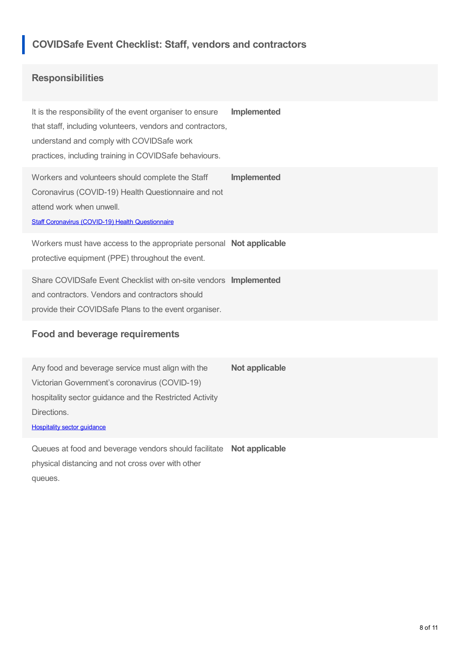## **COVIDSafe Event Checklist: Staff, vendors and contractors**

## **Responsibilities**

It is the responsibility of the event organiser to ensure that staff, including volunteers, vendors and contractors, understand and comply with COVIDSafe work practices, including training in COVIDSafe behaviours. **Implemented**

Workers and volunteers should complete the Staff Coronavirus (COVID-19) Health Questionnaire and not attend work when unwell. **Implemented**

Staff Coronavirus (COVID-19) Health [Questionnaire](https://www.coronavirus.vic.gov.au/sites/default/files/2020-09/Staff-Coronavirus-COVID-19-Health-Questionnaire.docx)

Workers must have access to the appropriate personal **Not applicable** protective equipment (PPE) throughout the event.

Share COVIDSafe Event Checklist with on-site vendors **Implemented** and contractors. Vendors and contractors should provide their COVIDSafe Plans to the event organiser.

### **Food and beverage requirements**

Any food and beverage service must align with the Victorian Government's coronavirus (COVID-19) hospitality sector guidance and the Restricted Activity Directions. **Not applicable**

**[Hospitality](https://www.coronavirus.vic.gov.au/hospitality-food-and-beverage-services-sector-guidance) sector guidance** 

Queues at food and beverage vendors should facilitate **Not applicable** physical distancing and not cross over with other queues.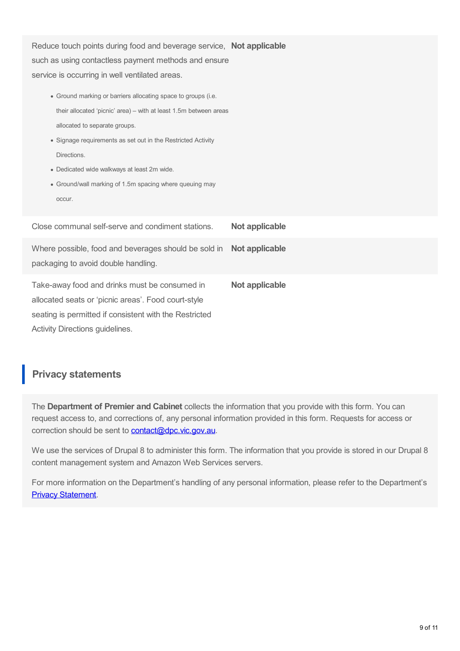| Reduce touch points during food and beverage service, Not applicable<br>such as using contactless payment methods and ensure<br>service is occurring in well ventilated areas.<br>• Ground marking or barriers allocating space to groups (i.e.<br>their allocated 'picnic' area) – with at least 1.5m between areas<br>allocated to separate groups.<br>• Signage requirements as set out in the Restricted Activity<br>Directions.<br>• Dedicated wide walkways at least 2m wide.<br>• Ground/wall marking of 1.5m spacing where queuing may<br>occur. |                |
|----------------------------------------------------------------------------------------------------------------------------------------------------------------------------------------------------------------------------------------------------------------------------------------------------------------------------------------------------------------------------------------------------------------------------------------------------------------------------------------------------------------------------------------------------------|----------------|
| Close communal self-serve and condiment stations.                                                                                                                                                                                                                                                                                                                                                                                                                                                                                                        | Not applicable |
| Where possible, food and beverages should be sold in<br>packaging to avoid double handling.                                                                                                                                                                                                                                                                                                                                                                                                                                                              | Not applicable |
| Take-away food and drinks must be consumed in<br>allocated seats or 'picnic areas'. Food court-style<br>seating is permitted if consistent with the Restricted<br>Activity Directions guidelines.                                                                                                                                                                                                                                                                                                                                                        | Not applicable |

## **Privacy statements**

The **Department of Premier and Cabinet** collects the information that you provide with this form. You can request access to, and corrections of, any personal information provided in this form. Requests for access or correction should be sent to **[contact@dpc.vic.gov.au](mailto:contact@dpc.vic.gov.au)**.

We use the services of Drupal 8 to administer this form. The information that you provide is stored in our Drupal 8 content management system and Amazon Web Services servers.

For more information on the Department's handling of any personal information, please refer to the Department's **Privacy [Statement](https://www.vic.gov.au/privacy-vicgovau).**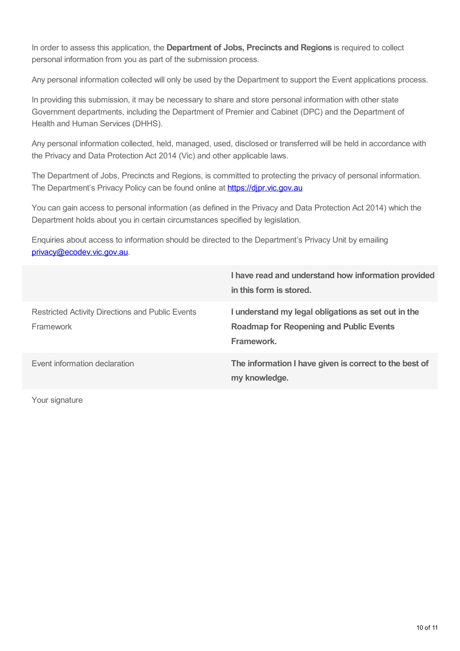In order to assess this application, the **Department of Jobs, Precincts and Regions** is required to collect personal information from you as part of the submission process.

Any personal information collected will only be used by the Department to support the Event applications process.

In providing this submission, it may be necessary to share and store personal information with other state Government departments, including the Department of Premier and Cabinet (DPC) and the Department of Health and Human Services (DHHS).

Any personal information collected, held, managed, used, disclosed or transferred will be held in accordance with the Privacy and Data Protection Act 2014 (Vic) and other applicable laws.

The Department of Jobs, Precincts and Regions, is committed to protecting the privacy of personal information. The Department's Privacy Policy can be found online at https://dipr.vic.gov.au

You can gain access to personal information (as defined in the Privacy and Data Protection Act 2014) which the Department holds about you in certain circumstances specified by legislation.

Enquiries about access to information should be directed to the Department's Privacy Unit by emailing [privacy@ecodev.vic.gov.au](mailto:privacy@ecodev.vic.gov.au).

|                                                               | I have read and understand how information provided<br>in this form is stored.                                      |
|---------------------------------------------------------------|---------------------------------------------------------------------------------------------------------------------|
| Restricted Activity Directions and Public Events<br>Framework | I understand my legal obligations as set out in the<br><b>Roadmap for Reopening and Public Events</b><br>Framework. |
| Event information declaration                                 | The information I have given is correct to the best of<br>my knowledge.                                             |

Your signature